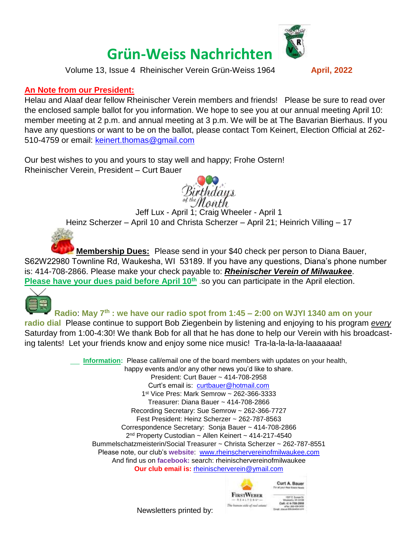## **Grün-Weiss Nachrichten**

Volume 13, Issue 4 Rheinischer Verein Grün-Weiss 1964 **April, 2022**

## **An Note from our President:**

Helau and Alaaf dear fellow Rheinischer Verein members and friends! Please be sure to read over the enclosed sample ballot for you information. We hope to see you at our annual meeting April 10: member meeting at 2 p.m. and annual meeting at 3 p.m. We will be at The Bavarian Bierhaus. If you have any questions or want to be on the ballot, please contact Tom Keinert, Election Official at 262- 510-4759 or email: [keinert.thomas@gmail.com](mailto:keinert.thomas@gmail.com)

Our best wishes to you and yours to stay well and happy; Frohe Ostern! Rheinischer Verein, President – Curt Bauer

**Membership Dues:** Please send in your \$40 check per person to Diana Bauer, S62W22980 Townline Rd, Waukesha, WI 53189. If you have any questions, Diana's phone number is: 414-708-2866. Please make your check payable to: *Rheinischer Verein of Milwaukee*. **Please have your dues paid before April 10<sup>th</sup></u> .so you can participate in the April election.** 



**Radio**: **May 7th : we have our radio spot from 1:45 – 2:00 on WJYI 1340 am on your** 

**radio dial** Please continue to support Bob Ziegenbein by listening and enjoying to his program *every* Saturday from 1:00-4:30! We thank Bob for all that he has done to help our Verein with his broadcasting talents! Let your friends know and enjoy some nice music! Tra-la-la-la-la-laaaaaaa!

> **Information:** Please call/email one of the board members with updates on your health, happy events and/or any other news you'd like to share. President: Curt Bauer ~ 414-708-2958 Curt's email is: [curtbauer@hotmail.com](mailto:curtbauer@hotmail.com) 1 st Vice Pres: Mark Semrow ~ 262-366-3333 Treasurer: Diana Bauer ~ 414-708-2866 Recording Secretary: Sue Semrow ~ 262-366-7727 Fest President: Heinz Scherzer ~ 262-787-8563 Correspondence Secretary: Sonja Bauer ~ 414-708-2866 2<sup>nd</sup> Property Custodian ~ Allen Keinert ~ 414-217-4540 Bummelschatzmeisterin/Social Treasurer ~ Christa Scherzer ~ 262-787-8551 Please note, our club's **website**: [www.rheinschervereinofmilwaukee.com](http://www.rheinschervereinofmilwaukee.com/) And find us on **facebook:** search: rheinischervereinofmilwaukee **Our club email is:** [rheinischerverein@ymail.com](mailto:rheinischerverein@ymail.com)



Curt A. Bauer

Newsletters printed by:



Jeff Lux - April 1; Craig Wheeler - April 1 Heinz Scherzer – April 10 and Christa Scherzer – April 21; Heinrich Villing – 17